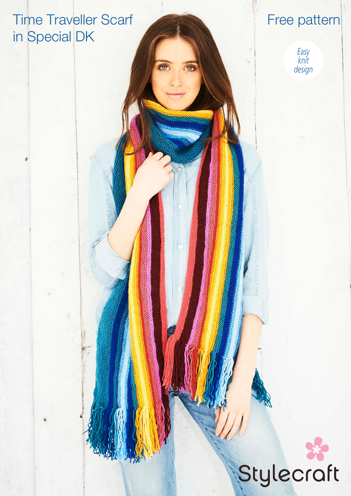# Time Traveller Scarf in Special DK

# Free pattern



# Stylecraft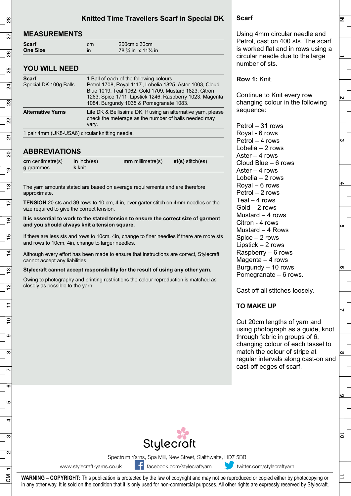## **Knitted Time Travellers Scarf in Special DK**

## **MEASUREMENTS**

| Scarf           | cm | $200cm \times 30cm$                             |
|-----------------|----|-------------------------------------------------|
| <b>One Size</b> |    | $78\frac{3}{4}$ in $\times$ 11 $\frac{3}{4}$ in |

#### **YOU WILL NEED**

| <b>Scarf</b><br>Special DK 100g Balls           | 1 Ball of each of the following colours<br>Petrol 1708, Royal 1117, Lobelia 1825, Aster 1003, Cloud<br>Blue 1019, Teal 1062, Gold 1709, Mustard 1823, Citron<br>1263, Spice 1711, Lipstick 1246, Raspberry 1023, Magenta<br>1084, Burgundy 1035 & Pomegranate 1083. |  |  |
|-------------------------------------------------|---------------------------------------------------------------------------------------------------------------------------------------------------------------------------------------------------------------------------------------------------------------------|--|--|
| <b>Alternative Yarns</b>                        | Life DK & Bellissima DK, If using an alternative yarn, please<br>check the meterage as the number of balls needed may<br>vary.                                                                                                                                      |  |  |
| 1 pair 4mm (UK8-USA6) circular knitting needle. |                                                                                                                                                                                                                                                                     |  |  |

### **ABBREVIATIONS**

| $cm$ centimetre(s) | in $inch(es)$ | $mm$ millimetre(s) | $st(s)$ stitch(es) |
|--------------------|---------------|--------------------|--------------------|
| g grammes          | <b>k</b> knit |                    |                    |

The yarn amounts stated are based on average requirements and are therefore approximate.

**TENSION** 20 sts and 39 rows to 10 cm, 4 in, over garter stitch on 4mm needles or the size required to give the correct tension.

**It is essential to work to the stated tension to ensure the correct size of garment and you should always knit a tension square.** 

If there are less sts and rows to 10cm, 4in, change to finer needles if there are more sts and rows to 10cm, 4in, change to larger needles.

Although every effort has been made to ensure that instructions are correct, Stylecraft cannot accept any liabilities.

#### **Stylecraft cannot accept responsibility for the result of using any other yarn.**

Owing to photography and printing restrictions the colour reproduction is matched as closely as possible to the yarn.

#### Using 4mm circular needle and Petrol, cast on 400 sts. The scarf is worked flat and in rows using a circular needle due to the large number of sts.

#### **Row 1:** Knit.

**Scarf** 

Continue to Knit every row changing colour in the following sequence:

Petrol – 31 rows Royal - 6 rows Petrol – 4 rows Lobelia – 2 rows Aster – 4 rows Cloud Blue – 6 rows Aster – 4 rows Lobelia – 2 rows Royal – 6 rows Petrol – 2 rows Teal – 4 rows Gold – 2 rows Mustard  $-4$  rows Citron - 4 rows Mustard – 4 Rows Spice – 2 rows Lipstick – 2 rows Raspberry – 6 rows Magenta  $-4$  rows Burgundy – 10 rows Pomegranate – 6 rows.

Cast off all stitches loosely.

#### **TO MAKE UP**

Cut 20cm lengths of yarn and using photograph as a guide, knot through fabric in groups of 6, changing colour of each tassel to match the colour of stripe at regular intervals along cast-on and cast-off edges of scarf.

る

 $\overline{z}$ 



Spectrum Yarns, Spa Mill, New Street, Slaithwaite, HD7 5BB

www.stylecraft-yarns.co.uk facebook.com/stylecraftyarn twitter.com/stylecraftyarn

**WARNING – COPYRIGHT:** This publication is protected by the law of copyright and may not be reproduced or copied either by photocopying or in any other way. It is sold on the condition that it is only used for non-commercial purposes. All other rights are expressly reserved by Stylecraft.

 $\frac{8}{2}$ 1 2| 3| 4| 5| 6| 7| 8| 9| 10| 11 | 12| 13| 14| 15| 16| 17| 18| 19| 20| 21| 22| 23| 24| 25| 25| 27| 28 27 8 85  $\overline{a}$  $\overline{\mathbb{S}}$  $\Omega$  $\overline{\Omega}$ g  $\overline{6}$  $\frac{8}{1}$  $\overline{6}$ ഥ  $\overline{4}$ ဗ္  $\overline{2}$  $\epsilon$  $\overline{10}$  $\overline{\mathbf{c}}$ CM